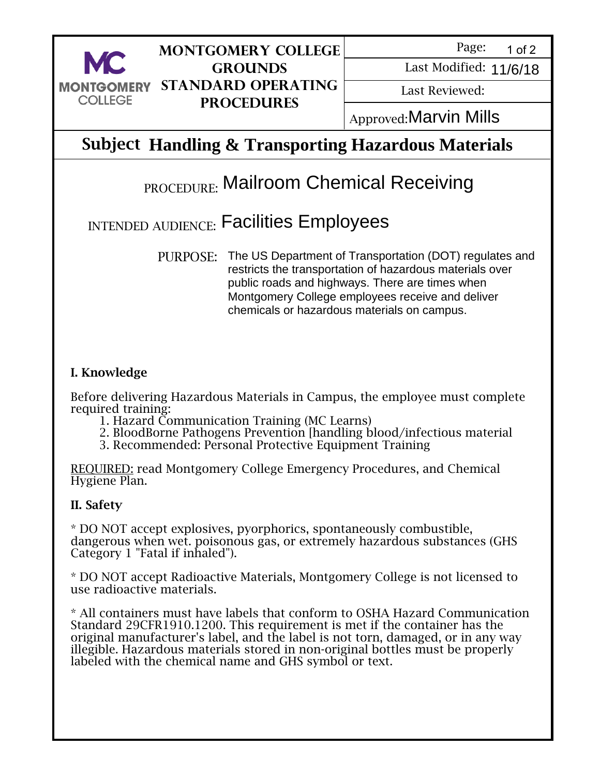

## **Montgomery College Grounds Standard Operating Procedures**

Page: 1 of 2

Last Modified: 11/6/18

Last Reviewed:

Approved: Marvin Mills

## **Subject Handling & Transporting Hazardous Materials**

# **PROCEDURE:** Mailroom Chemical Receiving

## INTENDED AUDIENCE: Facilities Employees

PURPOSE: The US Department of Transportation (DOT) regulates and restricts the transportation of hazardous materials over public roads and highways. There are times when Montgomery College employees receive and deliver chemicals or hazardous materials on campus.

### I. Knowledge

Before delivering Hazardous Materials in Campus, the employee must complete required training:

- 1. Hazard Communication Training (MC Learns)
- 2. BloodBorne Pathogens Prevention [handling blood/infectious material
- 3. Recommended: Personal Protective Equipment Training

REQUIRED: read Montgomery College Emergency Procedures, and Chemical Hygiene Plan.

#### II. Safety

\* DO NOT accept explosives, pyorphorics, spontaneously combustible, dangerous when wet. poisonous gas, or extremely hazardous substances (GHS Category 1 "Fatal if inhaled").

\* DO NOT accept Radioactive Materials, Montgomery College is not licensed to use radioactive materials.

\* All containers must have labels that conform to OSHA Hazard Communication Standard 29CFR1910.1200. This requirement is met if the container has the original manufacturer's label, and the label is not torn, damaged, or in any way illegible. Hazardous materials stored in non-original bottles must be properly labeled with the chemical name and GHS symbol or text. Martin Mills<br>
21.484 Modificat: 11/6/18<br>
COLLEGE PROCEDURES<br>
21.681 Reviewed:<br>
21.611/6718<br>
21.612.11/6718<br>
PROCEDURE Mailroom Chemical Receiving<br>
PROCEDURE Mailroom Chemical Receiving<br>
21.712.12.12.12.12.12.12.12.12.12.12